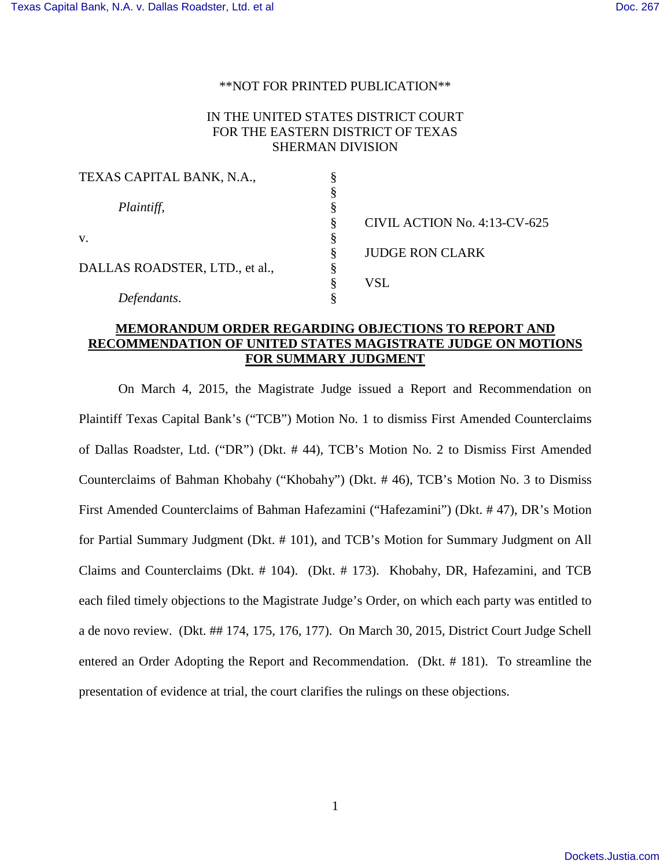## \*\*NOT FOR PRINTED PUBLICATION\*\*

# IN THE UNITED STATES DISTRICT COURT FOR THE EASTERN DISTRICT OF TEXAS SHERMAN DIVISION

| TEXAS CAPITAL BANK, N.A.,      |    |                              |
|--------------------------------|----|------------------------------|
|                                |    |                              |
| Plaintiff,                     |    |                              |
|                                | ş  | CIVIL ACTION No. 4:13-CV-625 |
| V.                             |    |                              |
|                                | §  | <b>JUDGE RON CLARK</b>       |
| DALLAS ROADSTER, LTD., et al., | \$ |                              |
|                                | §  | VSL                          |
| Defendants.                    |    |                              |

## **MEMORANDUM ORDER REGARDING OBJECTIONS TO REPORT AND RECOMMENDATION OF UNITED STATES MAGISTRATE JUDGE ON MOTIONS FOR SUMMARY JUDGMENT**

On March 4, 2015, the Magistrate Judge issued a Report and Recommendation on Plaintiff Texas Capital Bank's ("TCB") Motion No. 1 to dismiss First Amended Counterclaims of Dallas Roadster, Ltd. ("DR") (Dkt. # 44), TCB's Motion No. 2 to Dismiss First Amended Counterclaims of Bahman Khobahy ("Khobahy") (Dkt. # 46), TCB's Motion No. 3 to Dismiss First Amended Counterclaims of Bahman Hafezamini ("Hafezamini") (Dkt. # 47), DR's Motion for Partial Summary Judgment (Dkt. # 101), and TCB's Motion for Summary Judgment on All Claims and Counterclaims (Dkt. # 104). (Dkt. # 173). Khobahy, DR, Hafezamini, and TCB each filed timely objections to the Magistrate Judge's Order, on which each party was entitled to a de novo review. (Dkt. ## 174, 175, 176, 177). On March 30, 2015, District Court Judge Schell entered an Order Adopting the Report and Recommendation. (Dkt. # 181). To streamline the presentation of evidence at trial, the court clarifies the rulings on these objections.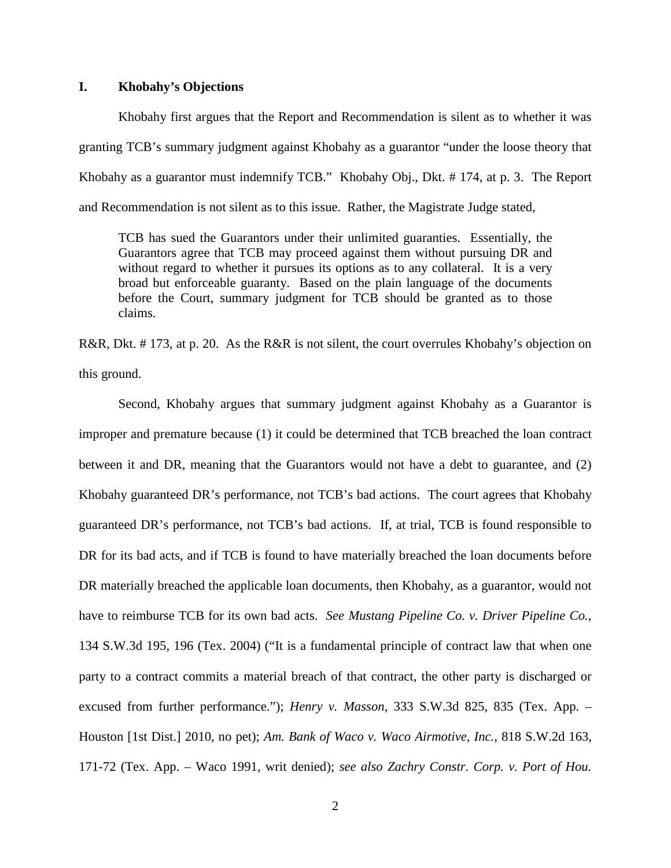### **I. Khobahy's Objections**

Khobahy first argues that the Report and Recommendation is silent as to whether it was granting TCB's summary judgment against Khobahy as a guarantor "under the loose theory that Khobahy as a guarantor must indemnify TCB." Khobahy Obj., Dkt. # 174, at p. 3. The Report and Recommendation is not silent as to this issue. Rather, the Magistrate Judge stated,

TCB has sued the Guarantors under their unlimited guaranties. Essentially, the Guarantors agree that TCB may proceed against them without pursuing DR and without regard to whether it pursues its options as to any collateral. It is a very broad but enforceable guaranty. Based on the plain language of the documents before the Court, summary judgment for TCB should be granted as to those claims.

R&R, Dkt. # 173, at p. 20. As the R&R is not silent, the court overrules Khobahy's objection on this ground.

Second, Khobahy argues that summary judgment against Khobahy as a Guarantor is improper and premature because (1) it could be determined that TCB breached the loan contract between it and DR, meaning that the Guarantors would not have a debt to guarantee, and (2) Khobahy guaranteed DR's performance, not TCB's bad actions. The court agrees that Khobahy guaranteed DR's performance, not TCB's bad actions. If, at trial, TCB is found responsible to DR for its bad acts, and if TCB is found to have materially breached the loan documents before DR materially breached the applicable loan documents, then Khobahy, as a guarantor, would not have to reimburse TCB for its own bad acts. *See Mustang Pipeline Co. v. Driver Pipeline Co.*, 134 S.W.3d 195, 196 (Tex. 2004) ("It is a fundamental principle of contract law that when one party to a contract commits a material breach of that contract, the other party is discharged or excused from further performance."); *Henry v. Masson*, 333 S.W.3d 825, 835 (Tex. App. – Houston [1st Dist.] 2010, no pet); *Am. Bank of Waco v. Waco Airmotive, Inc.*, 818 S.W.2d 163, 171-72 (Tex. App. – Waco 1991, writ denied); *see also Zachry Constr. Corp. v. Port of Hou.*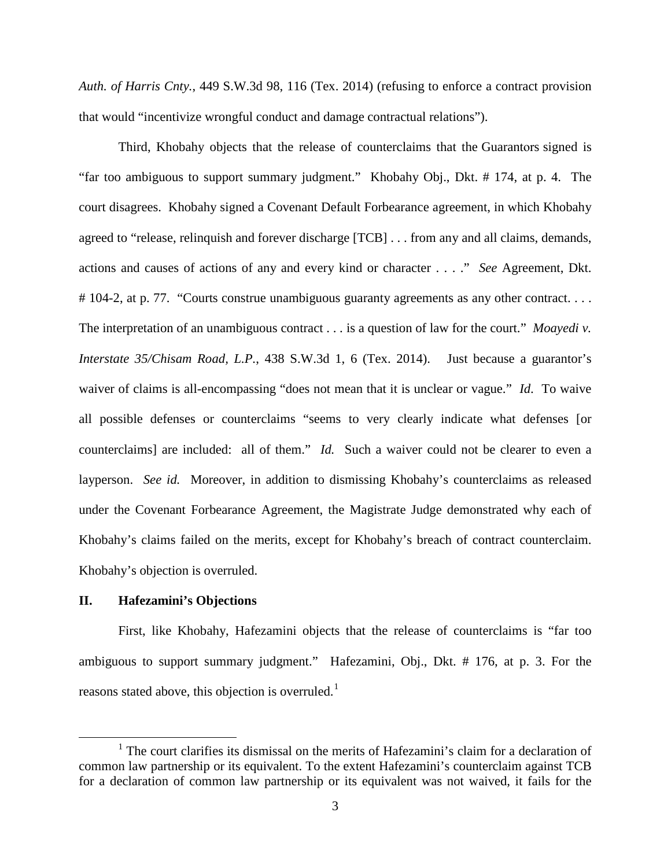*Auth. of Harris Cnty.*, 449 S.W.3d 98, 116 (Tex. 2014) (refusing to enforce a contract provision that would "incentivize wrongful conduct and damage contractual relations").

Third, Khobahy objects that the release of counterclaims that the Guarantors signed is "far too ambiguous to support summary judgment." Khobahy Obj., Dkt. # 174, at p. 4. The court disagrees. Khobahy signed a Covenant Default Forbearance agreement, in which Khobahy agreed to "release, relinquish and forever discharge [TCB] . . . from any and all claims, demands, actions and causes of actions of any and every kind or character . . . ." *See* Agreement, Dkt. # 104-2, at p. 77. "Courts construe unambiguous guaranty agreements as any other contract.... The interpretation of an unambiguous contract . . . is a question of law for the court." *Moayedi v. Interstate 35/Chisam Road, L.P.*, 438 S.W.3d 1, 6 (Tex. 2014). Just because a guarantor's waiver of claims is all-encompassing "does not mean that it is unclear or vague." *Id*. To waive all possible defenses or counterclaims "seems to very clearly indicate what defenses [or counterclaims] are included: all of them." *Id.* Such a waiver could not be clearer to even a layperson. *See id.* Moreover, in addition to dismissing Khobahy's counterclaims as released under the Covenant Forbearance Agreement, the Magistrate Judge demonstrated why each of Khobahy's claims failed on the merits, except for Khobahy's breach of contract counterclaim. Khobahy's objection is overruled.

### **II. Hafezamini's Objections**

First, like Khobahy, Hafezamini objects that the release of counterclaims is "far too ambiguous to support summary judgment." Hafezamini, Obj., Dkt. # 176, at p. 3. For the reasons stated above, this objection is overruled.<sup>[1](#page-2-0)</sup>

<span id="page-2-0"></span><sup>&</sup>lt;sup>1</sup> The court clarifies its dismissal on the merits of Hafezamini's claim for a declaration of common law partnership or its equivalent. To the extent Hafezamini's counterclaim against TCB for a declaration of common law partnership or its equivalent was not waived, it fails for the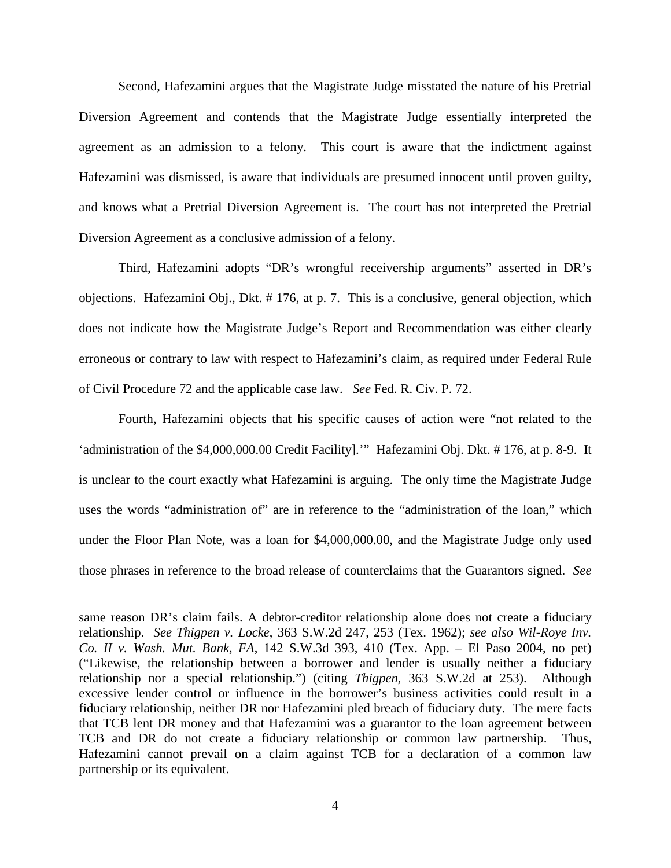Second, Hafezamini argues that the Magistrate Judge misstated the nature of his Pretrial Diversion Agreement and contends that the Magistrate Judge essentially interpreted the agreement as an admission to a felony. This court is aware that the indictment against Hafezamini was dismissed, is aware that individuals are presumed innocent until proven guilty, and knows what a Pretrial Diversion Agreement is. The court has not interpreted the Pretrial Diversion Agreement as a conclusive admission of a felony.

Third, Hafezamini adopts "DR's wrongful receivership arguments" asserted in DR's objections. Hafezamini Obj., Dkt. # 176, at p. 7. This is a conclusive, general objection, which does not indicate how the Magistrate Judge's Report and Recommendation was either clearly erroneous or contrary to law with respect to Hafezamini's claim, as required under Federal Rule of Civil Procedure 72 and the applicable case law. *See* Fed. R. Civ. P. 72.

Fourth, Hafezamini objects that his specific causes of action were "not related to the 'administration of the \$4,000,000.00 Credit Facility].'" Hafezamini Obj. Dkt. # 176, at p. 8-9. It is unclear to the court exactly what Hafezamini is arguing. The only time the Magistrate Judge uses the words "administration of" are in reference to the "administration of the loan," which under the Floor Plan Note, was a loan for \$4,000,000.00, and the Magistrate Judge only used those phrases in reference to the broad release of counterclaims that the Guarantors signed. *See* 

same reason DR's claim fails. A debtor-creditor relationship alone does not create a fiduciary relationship. *See Thigpen v. Locke*, 363 S.W.2d 247, 253 (Tex. 1962); *see also Wil-Roye Inv. Co. II v. Wash. Mut. Bank, FA*, 142 S.W.3d 393, 410 (Tex. App. – El Paso 2004, no pet) ("Likewise, the relationship between a borrower and lender is usually neither a fiduciary relationship nor a special relationship.") (citing *Thigpen*, 363 S.W.2d at 253). Although excessive lender control or influence in the borrower's business activities could result in a fiduciary relationship, neither DR nor Hafezamini pled breach of fiduciary duty. The mere facts that TCB lent DR money and that Hafezamini was a guarantor to the loan agreement between TCB and DR do not create a fiduciary relationship or common law partnership. Thus, Hafezamini cannot prevail on a claim against TCB for a declaration of a common law partnership or its equivalent.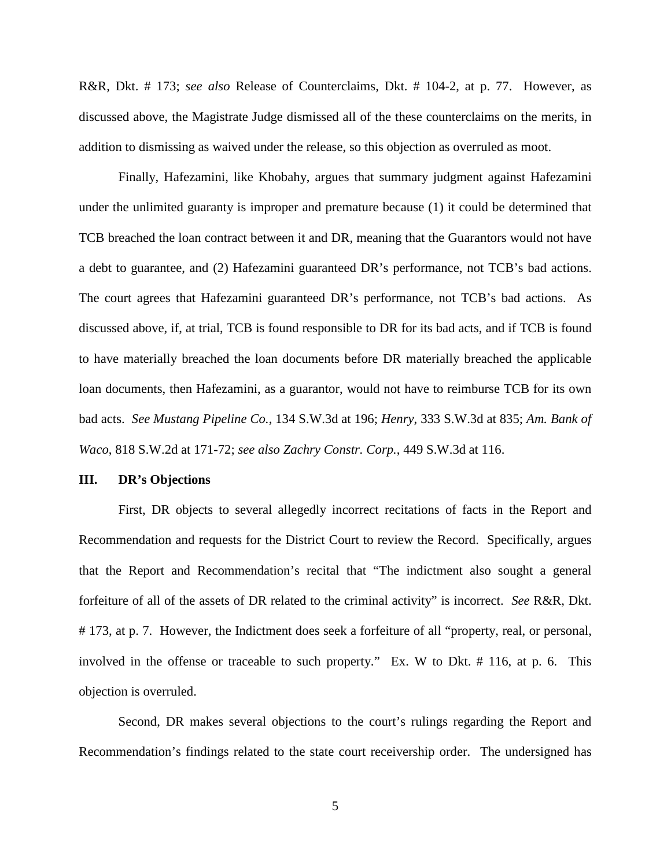R&R, Dkt. # 173; *see also* Release of Counterclaims, Dkt. # 104-2, at p. 77. However, as discussed above, the Magistrate Judge dismissed all of the these counterclaims on the merits, in addition to dismissing as waived under the release, so this objection as overruled as moot.

Finally, Hafezamini, like Khobahy, argues that summary judgment against Hafezamini under the unlimited guaranty is improper and premature because (1) it could be determined that TCB breached the loan contract between it and DR, meaning that the Guarantors would not have a debt to guarantee, and (2) Hafezamini guaranteed DR's performance, not TCB's bad actions. The court agrees that Hafezamini guaranteed DR's performance, not TCB's bad actions. As discussed above, if, at trial, TCB is found responsible to DR for its bad acts, and if TCB is found to have materially breached the loan documents before DR materially breached the applicable loan documents, then Hafezamini, as a guarantor, would not have to reimburse TCB for its own bad acts. *See Mustang Pipeline Co.*, 134 S.W.3d at 196; *Henry*, 333 S.W.3d at 835; *Am. Bank of Waco*, 818 S.W.2d at 171-72; *see also Zachry Constr. Corp.*, 449 S.W.3d at 116.

#### **III. DR's Objections**

First, DR objects to several allegedly incorrect recitations of facts in the Report and Recommendation and requests for the District Court to review the Record. Specifically, argues that the Report and Recommendation's recital that "The indictment also sought a general forfeiture of all of the assets of DR related to the criminal activity" is incorrect. *See* R&R, Dkt. # 173, at p. 7. However, the Indictment does seek a forfeiture of all "property, real, or personal, involved in the offense or traceable to such property." Ex. W to Dkt. # 116, at p. 6. This objection is overruled.

Second, DR makes several objections to the court's rulings regarding the Report and Recommendation's findings related to the state court receivership order. The undersigned has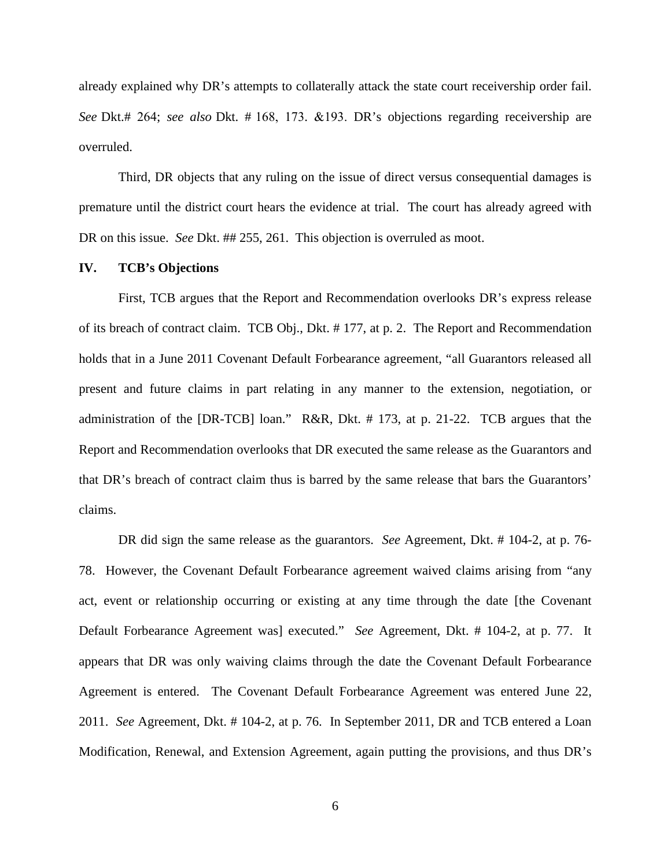already explained why DR's attempts to collaterally attack the state court receivership order fail. *See* Dkt.# 264; *see also* Dkt. # 168, 173. &193. DR's objections regarding receivership are overruled.

Third, DR objects that any ruling on the issue of direct versus consequential damages is premature until the district court hears the evidence at trial. The court has already agreed with DR on this issue. *See Dkt.* ## 255, 261. This objection is overruled as moot.

#### **IV. TCB's Objections**

First, TCB argues that the Report and Recommendation overlooks DR's express release of its breach of contract claim. TCB Obj., Dkt. # 177, at p. 2. The Report and Recommendation holds that in a June 2011 Covenant Default Forbearance agreement, "all Guarantors released all present and future claims in part relating in any manner to the extension, negotiation, or administration of the [DR-TCB] loan." R&R, Dkt. # 173, at p. 21-22. TCB argues that the Report and Recommendation overlooks that DR executed the same release as the Guarantors and that DR's breach of contract claim thus is barred by the same release that bars the Guarantors' claims.

DR did sign the same release as the guarantors. *See* Agreement, Dkt. # 104-2, at p. 76- 78. However, the Covenant Default Forbearance agreement waived claims arising from "any act, event or relationship occurring or existing at any time through the date [the Covenant Default Forbearance Agreement was] executed." *See* Agreement, Dkt. # 104-2, at p. 77. It appears that DR was only waiving claims through the date the Covenant Default Forbearance Agreement is entered. The Covenant Default Forbearance Agreement was entered June 22, 2011. *See* Agreement, Dkt. # 104-2, at p. 76. In September 2011, DR and TCB entered a Loan Modification, Renewal, and Extension Agreement, again putting the provisions, and thus DR's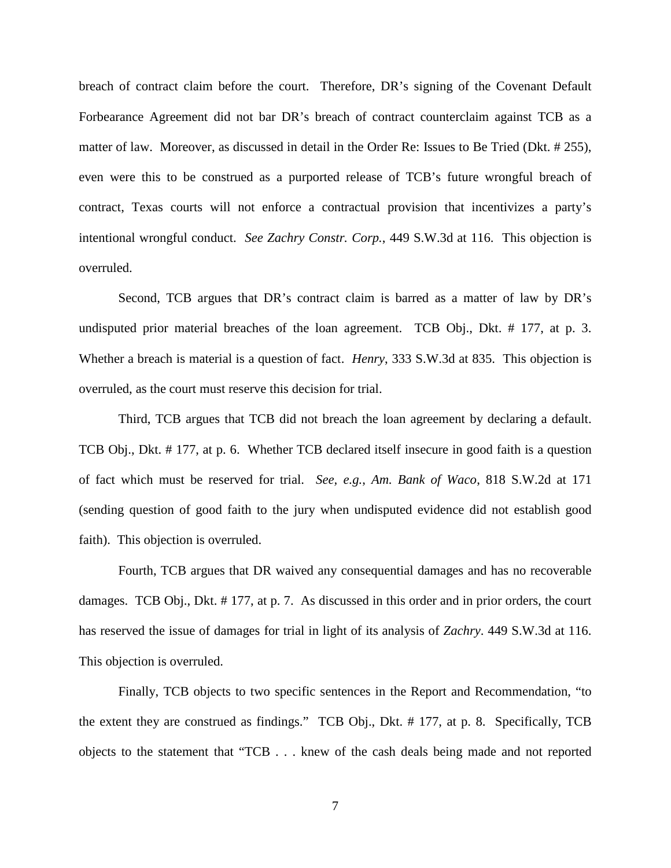breach of contract claim before the court. Therefore, DR's signing of the Covenant Default Forbearance Agreement did not bar DR's breach of contract counterclaim against TCB as a matter of law. Moreover, as discussed in detail in the Order Re: Issues to Be Tried (Dkt. # 255), even were this to be construed as a purported release of TCB's future wrongful breach of contract, Texas courts will not enforce a contractual provision that incentivizes a party's intentional wrongful conduct. *See Zachry Constr. Corp.*, 449 S.W.3d at 116. This objection is overruled.

Second, TCB argues that DR's contract claim is barred as a matter of law by DR's undisputed prior material breaches of the loan agreement. TCB Obj., Dkt. # 177, at p. 3. Whether a breach is material is a question of fact. *Henry*, 333 S.W.3d at 835. This objection is overruled, as the court must reserve this decision for trial.

Third, TCB argues that TCB did not breach the loan agreement by declaring a default. TCB Obj., Dkt. # 177, at p. 6. Whether TCB declared itself insecure in good faith is a question of fact which must be reserved for trial. *See, e.g.*, *Am. Bank of Waco*, 818 S.W.2d at 171 (sending question of good faith to the jury when undisputed evidence did not establish good faith). This objection is overruled.

Fourth, TCB argues that DR waived any consequential damages and has no recoverable damages. TCB Obj., Dkt. # 177, at p. 7. As discussed in this order and in prior orders, the court has reserved the issue of damages for trial in light of its analysis of *Zachry*. 449 S.W.3d at 116. This objection is overruled.

Finally, TCB objects to two specific sentences in the Report and Recommendation, "to the extent they are construed as findings." TCB Obj., Dkt. # 177, at p. 8. Specifically, TCB objects to the statement that "TCB . . . knew of the cash deals being made and not reported